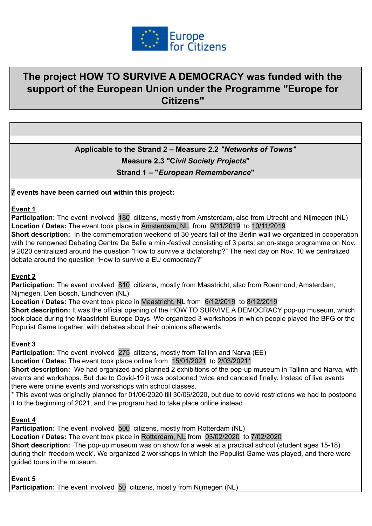

# **The project HOW TO SURVIVE A DEMOCRACY was funded with the support of the European Union under the Programme "Europe for Citizens"**

# **Applicable to the Strand 2 – Measure 2.2** *"Networks of Towns"* **Measure 2.3 "C***ivil Society Projects***" Strand 1 – "***European Rememberance***"**

#### **7 events have been carried out within this project:**

#### **Event 1**

**Participation:** The event involved 180 citizens, mostly from Amsterdam, also from Utrecht and Nijmegen (NL) **Location / Dates:** The event took place in Amsterdam, NL, from 9/11/2019 to 10/11/2019

**Short description:** In the commemoration weekend of 30 years fall of the Berlin wall we organized in cooperation with the renowned Debating Centre De Balie a mini-festival consisting of 3 parts: an on-stage programme on Nov. 9 2020 centralized around the question "How to survive a dictatorship?" The next day on Nov. 10 we centralized debate around the question "How to survive a EU democracy?"

#### **Event 2**

**Participation:** The event involved 810 citizens, mostly from Maastricht, also from Roermond, Amsterdam, Nijmegen, Den Bosch, Eindhoven (NL)

**Location / Dates:** The event took place in Maastricht, NL from 6/12/2019 to 8/12/2019

**Short description:** It was the official opening of the HOW TO SURVIVE A DEMOCRACY pop-up museum, which took place during the Maastricht Europe Days. We organized 3 workshops in which people played the BFG or the Populist Game together, with debates about their opinions afterwards.

#### **Event 3**

**Participation:** The event involved 275 citizens, mostly from Tallinn and Narva (EE)

**Location / Dates:** The event took place online from 15/01/2021 to 2/03/2021\*

**Short description:** We had organized and planned 2 exhibitions of the pop-up museum in Tallinn and Narva, with events and workshops. But due to Covid-19 it was postponed twice and canceled finally. Instead of live events there were online events and workshops with school classes.

\* This event was originally planned for 01/06/2020 till 30/06/2020, but due to covid restrictions we had to postpone it to the beginning of 2021, and the program had to take place online instead.

#### **Event 4**

**Participation:** The event involved 500 citizens, mostly from Rotterdam (NL)

**Location / Dates:** The event took place in Rotterdam, NL from 03/02/2020 to 7/02/2020

**Short description:** The pop-up museum was on show for a week at a practical school (student ages 15-18) during their 'freedom week'. We organized 2 workshops in which the Populist Game was played, and there were guided tours in the museum.

#### **Event 5**

**Participation:** The event involved 50 citizens, mostly from Nijmegen (NL)